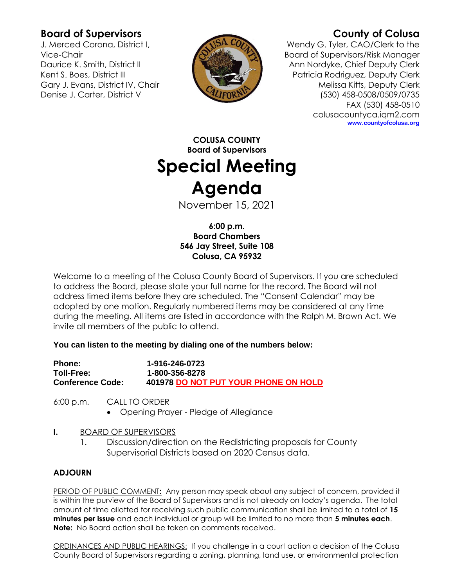## **Board of Supervisors**

J. Merced Corona, District I, Vice-Chair Daurice K. Smith, District II Kent S. Boes, District III Gary J. Evans, District IV, Chair Denise J. Carter, District V



# **County of Colusa**

Wendy G. Tyler, CAO/Clerk to the Board of Supervisors/Risk Manager Ann Nordyke, Chief Deputy Clerk Patricia Rodriguez, Deputy Clerk Melissa Kitts, Deputy Clerk (530) 458-0508/0509/0735 FAX (530) 458-0510 colusacountyca.iqm2.com **www.countyofcolusa.org**

**COLUSA COUNTY Board of Supervisors Special Meeting Agenda**

November 15, 2021

**6:00 p.m. Board Chambers 546 Jay Street, Suite 108 Colusa, CA 95932**

Welcome to a meeting of the Colusa County Board of Supervisors. If you are scheduled to address the Board, please state your full name for the record. The Board will not address timed items before they are scheduled. The "Consent Calendar" may be adopted by one motion. Regularly numbered items may be considered at any time during the meeting. All items are listed in accordance with the Ralph M. Brown Act. We invite all members of the public to attend.

### **You can listen to the meeting by dialing one of the numbers below:**

| <b>Phone:</b>           | 1-916-246-0723                       |
|-------------------------|--------------------------------------|
| <b>Toll-Free:</b>       | 1-800-356-8278                       |
| <b>Conference Code:</b> | 401978 DO NOT PUT YOUR PHONE ON HOLD |

6:00 p.m. CALL TO ORDER

Opening Prayer - Pledge of Allegiance

### **I.** BOARD OF SUPERVISORS

1. Discussion/direction on the Redistricting proposals for County Supervisorial Districts based on 2020 Census data.

## **ADJOURN**

PERIOD OF PUBLIC COMMENT**:** Any person may speak about any subject of concern, provided it is within the purview of the Board of Supervisors and is not already on today's agenda. The total amount of time allotted for receiving such public communication shall be limited to a total of **15 minutes per issue** and each individual or group will be limited to no more than **5 minutes each**. **Note:** No Board action shall be taken on comments received.

ORDINANCES AND PUBLIC HEARINGS: If you challenge in a court action a decision of the Colusa County Board of Supervisors regarding a zoning, planning, land use, or environmental protection